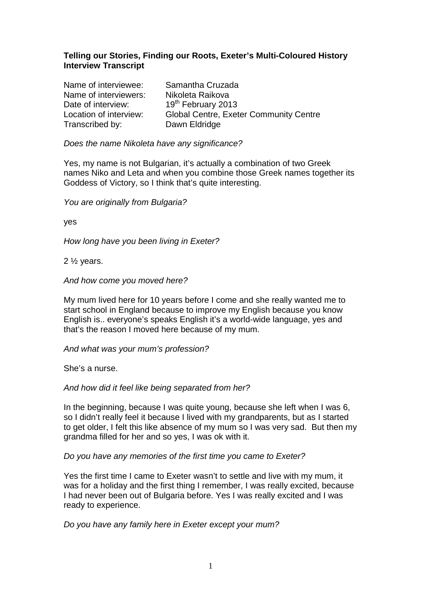### **Telling our Stories, Finding our Roots, Exeter's Multi-Coloured History Interview Transcript**

| Samantha Cruzada                              |
|-----------------------------------------------|
| Nikoleta Raikova                              |
| 19 <sup>th</sup> February 2013                |
| <b>Global Centre, Exeter Community Centre</b> |
| Dawn Eldridge                                 |
|                                               |

#### Does the name Nikoleta have any significance?

Yes, my name is not Bulgarian, it's actually a combination of two Greek names Niko and Leta and when you combine those Greek names together its Goddess of Victory, so I think that's quite interesting.

You are originally from Bulgaria?

yes

How long have you been living in Exeter?

2 ½ years.

And how come you moved here?

My mum lived here for 10 years before I come and she really wanted me to start school in England because to improve my English because you know English is.. everyone's speaks English it's a world-wide language, yes and that's the reason I moved here because of my mum.

And what was your mum's profession?

She's a nurse.

And how did it feel like being separated from her?

In the beginning, because I was quite young, because she left when I was 6, so I didn't really feel it because I lived with my grandparents, but as I started to get older, I felt this like absence of my mum so I was very sad. But then my grandma filled for her and so yes, I was ok with it.

Do you have any memories of the first time you came to Exeter?

Yes the first time I came to Exeter wasn't to settle and live with my mum, it was for a holiday and the first thing I remember, I was really excited, because I had never been out of Bulgaria before. Yes I was really excited and I was ready to experience.

Do you have any family here in Exeter except your mum?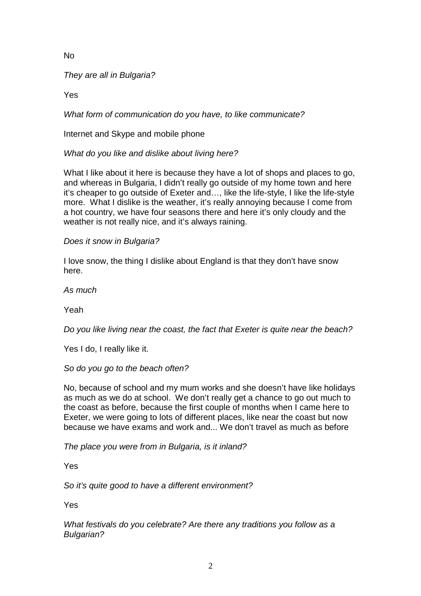No

They are all in Bulgaria?

Yes

What form of communication do you have, to like communicate?

Internet and Skype and mobile phone

What do you like and dislike about living here?

What I like about it here is because they have a lot of shops and places to go, and whereas in Bulgaria, I didn't really go outside of my home town and here it's cheaper to go outside of Exeter and…, like the life-style, I like the life-style more. What I dislike is the weather, it's really annoying because I come from a hot country, we have four seasons there and here it's only cloudy and the weather is not really nice, and it's always raining.

Does it snow in Bulgaria?

I love snow, the thing I dislike about England is that they don't have snow here.

As much

Yeah

Do you like living near the coast, the fact that Exeter is quite near the beach?

Yes I do, I really like it.

So do you go to the beach often?

No, because of school and my mum works and she doesn't have like holidays as much as we do at school. We don't really get a chance to go out much to the coast as before, because the first couple of months when I came here to Exeter, we were going to lots of different places, like near the coast but now because we have exams and work and... We don't travel as much as before

The place you were from in Bulgaria, is it inland?

Yes

So it's quite good to have a different environment?

Yes

What festivals do you celebrate? Are there any traditions you follow as a Bulgarian?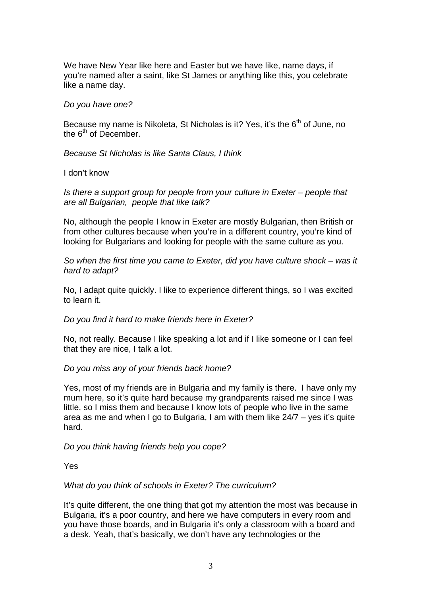We have New Year like here and Easter but we have like, name days, if you're named after a saint, like St James or anything like this, you celebrate like a name day.

#### Do you have one?

Because my name is Nikoleta, St Nicholas is it? Yes, it's the  $6<sup>th</sup>$  of June, no the  $6<sup>th</sup>$  of December

Because St Nicholas is like Santa Claus, I think

#### I don't know

Is there a support group for people from your culture in Exeter – people that are all Bulgarian, people that like talk?

No, although the people I know in Exeter are mostly Bulgarian, then British or from other cultures because when you're in a different country, you're kind of looking for Bulgarians and looking for people with the same culture as you.

So when the first time you came to Exeter, did you have culture shock – was it hard to adapt?

No, I adapt quite quickly. I like to experience different things, so I was excited to learn it.

Do you find it hard to make friends here in Exeter?

No, not really. Because I like speaking a lot and if I like someone or I can feel that they are nice, I talk a lot.

### Do you miss any of your friends back home?

Yes, most of my friends are in Bulgaria and my family is there. I have only my mum here, so it's quite hard because my grandparents raised me since I was little, so I miss them and because I know lots of people who live in the same area as me and when I go to Bulgaria, I am with them like 24/7 – yes it's quite hard.

### Do you think having friends help you cope?

Yes

### What do you think of schools in Exeter? The curriculum?

It's quite different, the one thing that got my attention the most was because in Bulgaria, it's a poor country, and here we have computers in every room and you have those boards, and in Bulgaria it's only a classroom with a board and a desk. Yeah, that's basically, we don't have any technologies or the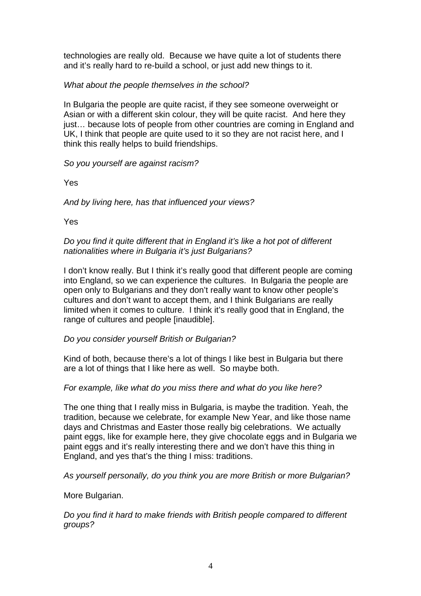technologies are really old. Because we have quite a lot of students there and it's really hard to re-build a school, or just add new things to it.

# What about the people themselves in the school?

In Bulgaria the people are quite racist, if they see someone overweight or Asian or with a different skin colour, they will be quite racist. And here they just… because lots of people from other countries are coming in England and UK, I think that people are quite used to it so they are not racist here, and I think this really helps to build friendships.

## So you yourself are against racism?

Yes

And by living here, has that influenced your views?

Yes

### Do you find it quite different that in England it's like a hot pot of different nationalities where in Bulgaria it's just Bulgarians?

I don't know really. But I think it's really good that different people are coming into England, so we can experience the cultures. In Bulgaria the people are open only to Bulgarians and they don't really want to know other people's cultures and don't want to accept them, and I think Bulgarians are really limited when it comes to culture. I think it's really good that in England, the range of cultures and people [inaudible].

### Do you consider yourself British or Bulgarian?

Kind of both, because there's a lot of things I like best in Bulgaria but there are a lot of things that I like here as well. So maybe both.

### For example, like what do you miss there and what do you like here?

The one thing that I really miss in Bulgaria, is maybe the tradition. Yeah, the tradition, because we celebrate, for example New Year, and like those name days and Christmas and Easter those really big celebrations. We actually paint eggs, like for example here, they give chocolate eggs and in Bulgaria we paint eggs and it's really interesting there and we don't have this thing in England, and yes that's the thing I miss: traditions.

As yourself personally, do you think you are more British or more Bulgarian?

### More Bulgarian.

Do you find it hard to make friends with British people compared to different groups?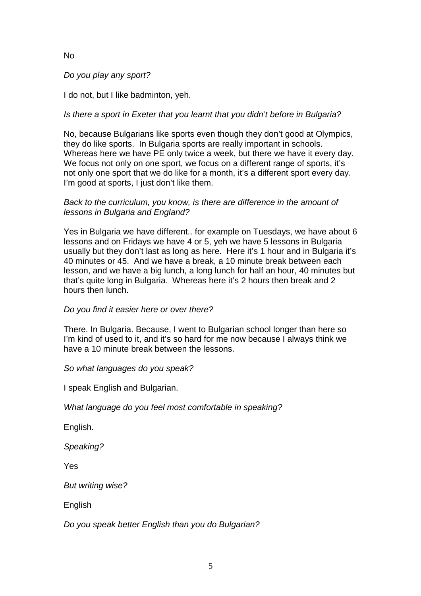# No

Do you play any sport?

I do not, but I like badminton, yeh.

# Is there a sport in Exeter that you learnt that you didn't before in Bulgaria?

No, because Bulgarians like sports even though they don't good at Olympics, they do like sports. In Bulgaria sports are really important in schools. Whereas here we have PE only twice a week, but there we have it every day. We focus not only on one sport, we focus on a different range of sports, it's not only one sport that we do like for a month, it's a different sport every day. I'm good at sports, I just don't like them.

### Back to the curriculum, you know, is there are difference in the amount of lessons in Bulgaria and England?

Yes in Bulgaria we have different.. for example on Tuesdays, we have about 6 lessons and on Fridays we have 4 or 5, yeh we have 5 lessons in Bulgaria usually but they don't last as long as here. Here it's 1 hour and in Bulgaria it's 40 minutes or 45. And we have a break, a 10 minute break between each lesson, and we have a big lunch, a long lunch for half an hour, 40 minutes but that's quite long in Bulgaria. Whereas here it's 2 hours then break and 2 hours then lunch.

### Do you find it easier here or over there?

There. In Bulgaria. Because, I went to Bulgarian school longer than here so I'm kind of used to it, and it's so hard for me now because I always think we have a 10 minute break between the lessons.

So what languages do you speak?

I speak English and Bulgarian.

What language do you feel most comfortable in speaking?

English.

Speaking?

Yes

But writing wise?

English

Do you speak better English than you do Bulgarian?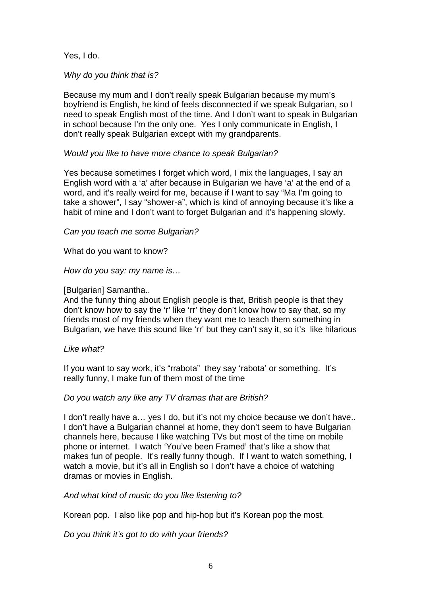Yes, I do.

Why do you think that is?

Because my mum and I don't really speak Bulgarian because my mum's boyfriend is English, he kind of feels disconnected if we speak Bulgarian, so I need to speak English most of the time. And I don't want to speak in Bulgarian in school because I'm the only one. Yes I only communicate in English, I don't really speak Bulgarian except with my grandparents.

### Would you like to have more chance to speak Bulgarian?

Yes because sometimes I forget which word, I mix the languages, I say an English word with a 'a' after because in Bulgarian we have 'a' at the end of a word, and it's really weird for me, because if I want to say "Ma I'm going to take a shower", I say "shower-a", which is kind of annoying because it's like a habit of mine and I don't want to forget Bulgarian and it's happening slowly.

#### Can you teach me some Bulgarian?

What do you want to know?

How do you say: my name is…

#### [Bulgarian] Samantha..

And the funny thing about English people is that, British people is that they don't know how to say the 'r' like 'rr' they don't know how to say that, so my friends most of my friends when they want me to teach them something in Bulgarian, we have this sound like 'rr' but they can't say it, so it's like hilarious

#### Like what?

If you want to say work, it's "rrabota" they say 'rabota' or something. It's really funny, I make fun of them most of the time

### Do you watch any like any TV dramas that are British?

I don't really have a… yes I do, but it's not my choice because we don't have.. I don't have a Bulgarian channel at home, they don't seem to have Bulgarian channels here, because I like watching TVs but most of the time on mobile phone or internet. I watch 'You've been Framed' that's like a show that makes fun of people. It's really funny though. If I want to watch something, I watch a movie, but it's all in English so I don't have a choice of watching dramas or movies in English.

### And what kind of music do you like listening to?

Korean pop. I also like pop and hip-hop but it's Korean pop the most.

Do you think it's got to do with your friends?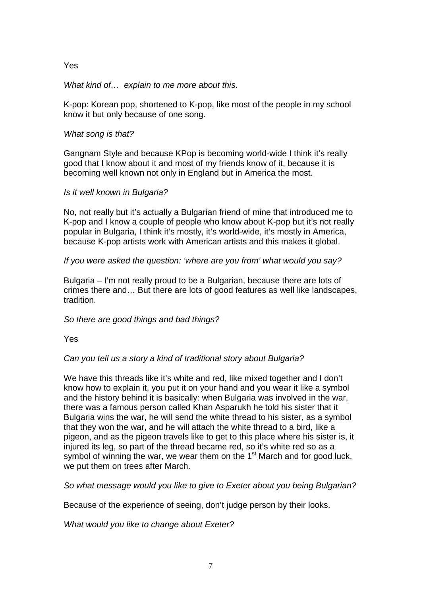Yes

### What kind of... explain to me more about this.

K-pop: Korean pop, shortened to K-pop, like most of the people in my school know it but only because of one song.

## What song is that?

Gangnam Style and because KPop is becoming world-wide I think it's really good that I know about it and most of my friends know of it, because it is becoming well known not only in England but in America the most.

## Is it well known in Bulgaria?

No, not really but it's actually a Bulgarian friend of mine that introduced me to K-pop and I know a couple of people who know about K-pop but it's not really popular in Bulgaria, I think it's mostly, it's world-wide, it's mostly in America, because K-pop artists work with American artists and this makes it global.

## If you were asked the question: 'where are you from' what would you say?

Bulgaria – I'm not really proud to be a Bulgarian, because there are lots of crimes there and… But there are lots of good features as well like landscapes, tradition.

# So there are good things and bad things?

Yes

# Can you tell us a story a kind of traditional story about Bulgaria?

We have this threads like it's white and red, like mixed together and I don't know how to explain it, you put it on your hand and you wear it like a symbol and the history behind it is basically: when Bulgaria was involved in the war, there was a famous person called Khan Asparukh he told his sister that it Bulgaria wins the war, he will send the white thread to his sister, as a symbol that they won the war, and he will attach the white thread to a bird, like a pigeon, and as the pigeon travels like to get to this place where his sister is, it injured its leg, so part of the thread became red, so it's white red so as a symbol of winning the war, we wear them on the  $1<sup>st</sup>$  March and for good luck, we put them on trees after March.

So what message would you like to give to Exeter about you being Bulgarian?

Because of the experience of seeing, don't judge person by their looks.

What would you like to change about Exeter?